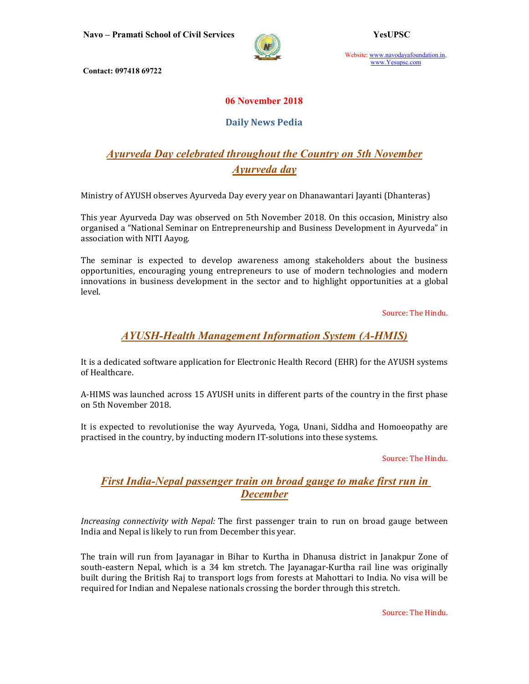

Website: www.navodayafoundation.in, www.Yesupsc.com

Contact: 097418 69722

#### 06 November 2018

#### Daily News Pedia

# Ayurveda Day celebrated throughout the Country on 5th November Ayurveda day

Ministry of AYUSH observes Ayurveda Day every year on Dhanawantari Jayanti (Dhanteras)

This year Ayurveda Day was observed on 5th November 2018. On this occasion, Ministry also organised a "National Seminar on Entrepreneurship and Business Development in Ayurveda" in association with NITI Aayog.

The seminar is expected to develop awareness among stakeholders about the business opportunities, encouraging young entrepreneurs to use of modern technologies and modern innovations in business development in the sector and to highlight opportunities at a global level.

Source: The Hindu.

#### AYUSH-Health Management Information System (A-HMIS)

It is a dedicated software application for Electronic Health Record (EHR) for the AYUSH systems of Healthcare.

A-HIMS was launched across 15 AYUSH units in different parts of the country in the first phase on 5th November 2018.

It is expected to revolutionise the way Ayurveda, Yoga, Unani, Siddha and Homoeopathy are practised in the country, by inducting modern IT-solutions into these systems.

Source: The Hindu.

### First India-Nepal passenger train on broad gauge to make first run in **December**

Increasing connectivity with Nepal: The first passenger train to run on broad gauge between India and Nepal is likely to run from December this year.

The train will run from Jayanagar in Bihar to Kurtha in Dhanusa district in Janakpur Zone of south-eastern Nepal, which is a 34 km stretch. The Jayanagar-Kurtha rail line was originally built during the British Raj to transport logs from forests at Mahottari to India. No visa will be required for Indian and Nepalese nationals crossing the border through this stretch.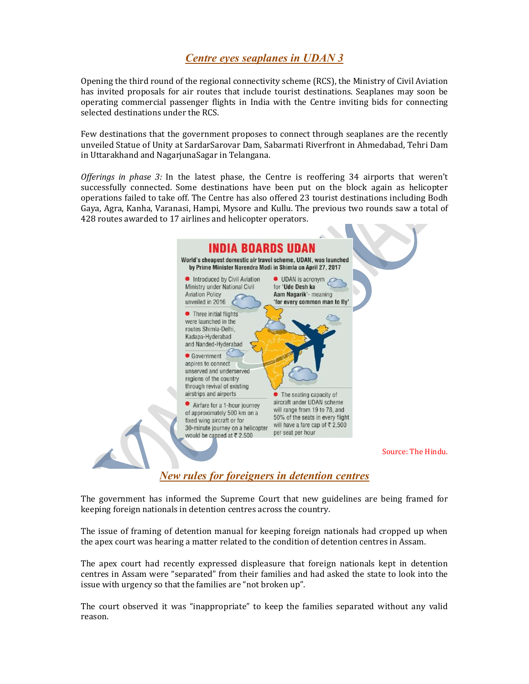## Centre eyes seaplanes in UDAN 3

Opening the third round of the regional connectivity scheme (RCS), the Ministry of Civil Aviation has invited proposals for air routes that include tourist destinations. Seaplanes may soon be operating commercial passenger flights in India with the Centre inviting bids for connecting selected destinations under the RCS.

Few destinations that the government proposes to connect through seaplanes are the recently unveiled Statue of Unity at SardarSarovar Dam, Sabarmati Riverfront in Ahmedabad, Tehri Dam in Uttarakhand and NagarjunaSagar in Telangana.

Offerings in phase 3: In the latest phase, the Centre is reoffering 34 airports that weren't successfully connected. Some destinations have been put on the block again as helicopter operations failed to take off. The Centre has also offered 23 tourist destinations including Bodh Gaya, Agra, Kanha, Varanasi, Hampi, Mysore and Kullu. The previous two rounds saw a total of 428 routes awarded to 17 airlines and helicopter operators.



New rules for foreigners in detention centres

The government has informed the Supreme Court that new guidelines are being framed for keeping foreign nationals in detention centres across the country.

The issue of framing of detention manual for keeping foreign nationals had cropped up when the apex court was hearing a matter related to the condition of detention centres in Assam.

The apex court had recently expressed displeasure that foreign nationals kept in detention centres in Assam were "separated" from their families and had asked the state to look into the issue with urgency so that the families are "not broken up".

The court observed it was "inappropriate" to keep the families separated without any valid reason.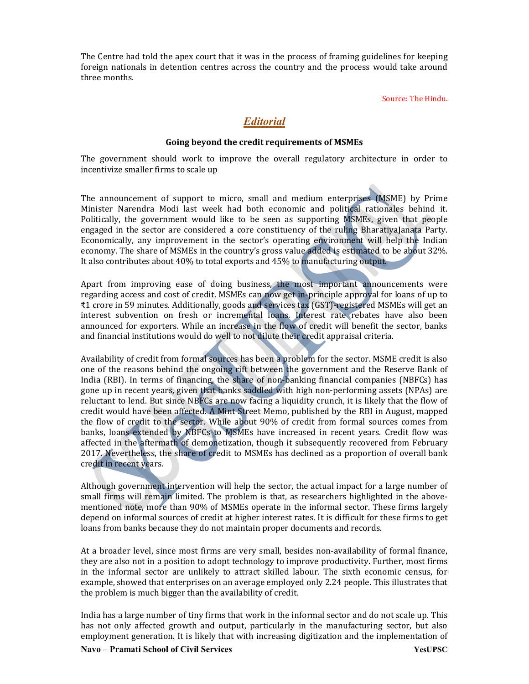The Centre had told the apex court that it was in the process of framing guidelines for keeping foreign nationals in detention centres across the country and the process would take around three months.

Source: The Hindu.

#### **Editorial**

#### Going beyond the credit requirements of MSMEs

The government should work to improve the overall regulatory architecture in order to incentivize smaller firms to scale up

The announcement of support to micro, small and medium enterprises (MSME) by Prime Minister Narendra Modi last week had both economic and political rationales behind it. Politically, the government would like to be seen as supporting MSMEs, given that people engaged in the sector are considered a core constituency of the ruling BharatiyaJanata Party. Economically, any improvement in the sector's operating environment will help the Indian economy. The share of MSMEs in the country's gross value added is estimated to be about 32%. It also contributes about 40% to total exports and 45% to manufacturing output.

Apart from improving ease of doing business, the most important announcements were regarding access and cost of credit. MSMEs can now get in-principle approval for loans of up to ₹1 crore in 59 minutes. Additionally, goods and services tax (GST)-registered MSMEs will get an interest subvention on fresh or incremental loans. Interest rate rebates have also been announced for exporters. While an increase in the flow of credit will benefit the sector, banks and financial institutions would do well to not dilute their credit appraisal criteria.

Availability of credit from formal sources has been a problem for the sector. MSME credit is also one of the reasons behind the ongoing rift between the government and the Reserve Bank of India (RBI). In terms of financing, the share of non-banking financial companies (NBFCs) has gone up in recent years, given that banks saddled with high non-performing assets (NPAs) are reluctant to lend. But since NBFCs are now facing a liquidity crunch, it is likely that the flow of credit would have been affected. A Mint Street Memo, published by the RBI in August, mapped the flow of credit to the sector. While about 90% of credit from formal sources comes from banks, loans extended by NBFCs to MSMEs have increased in recent years. Credit flow was affected in the aftermath of demonetization, though it subsequently recovered from February 2017. Nevertheless, the share of credit to MSMEs has declined as a proportion of overall bank credit in recent years.

Although government intervention will help the sector, the actual impact for a large number of small firms will remain limited. The problem is that, as researchers highlighted in the abovementioned note, more than 90% of MSMEs operate in the informal sector. These firms largely depend on informal sources of credit at higher interest rates. It is difficult for these firms to get loans from banks because they do not maintain proper documents and records.

At a broader level, since most firms are very small, besides non-availability of formal finance, they are also not in a position to adopt technology to improve productivity. Further, most firms in the informal sector are unlikely to attract skilled labour. The sixth economic census, for example, showed that enterprises on an average employed only 2.24 people. This illustrates that the problem is much bigger than the availability of credit.

India has a large number of tiny firms that work in the informal sector and do not scale up. This has not only affected growth and output, particularly in the manufacturing sector, but also employment generation. It is likely that with increasing digitization and the implementation of